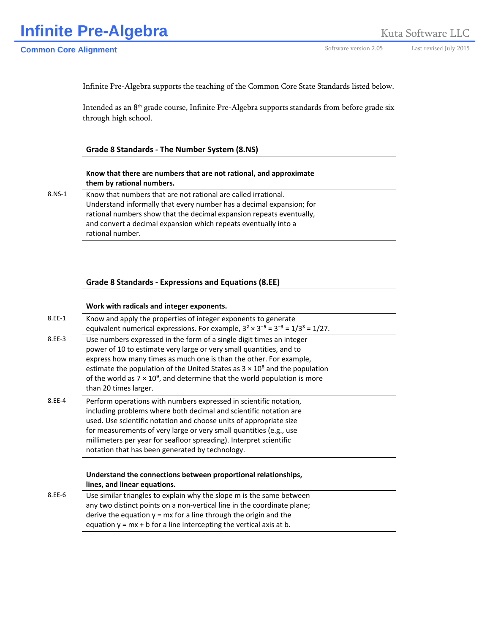Infinite Pre-Algebra supports the teaching of the Common Core State Standards listed below.

Intended as an 8<sup>th</sup> grade course, Infinite Pre-Algebra supports standards from before grade six through high school.

# **Grade 8 Standards ‐ The Number System (8.NS)**

### **Know that there are numbers that are not rational, and approximate them by rational numbers.**

8.NS-1 Know that numbers that are not rational are called irrational. Understand informally that every number has a decimal expansion; for rational numbers show that the decimal expansion repeats eventually, and convert a decimal expansion which repeats eventually into a rational number.

### **Grade 8 Standards ‐ Expressions and Equations (8.EE)**

### **Work with radicals and integer exponents.**

| 8.EE-1 | Know and apply the properties of integer exponents to generate<br>equivalent numerical expressions. For example, $3^2 \times 3^{-5} = 3^{-3} = 1/3^3 = 1/27$ .                                                                                                                                                                                                                                                        |
|--------|-----------------------------------------------------------------------------------------------------------------------------------------------------------------------------------------------------------------------------------------------------------------------------------------------------------------------------------------------------------------------------------------------------------------------|
| 8.EE-3 | Use numbers expressed in the form of a single digit times an integer<br>power of 10 to estimate very large or very small quantities, and to<br>express how many times as much one is than the other. For example,<br>estimate the population of the United States as $3 \times 10^8$ and the population<br>of the world as $7 \times 10^9$ , and determine that the world population is more<br>than 20 times larger. |
| 8.EE-4 | Perform operations with numbers expressed in scientific notation,<br>including problems where both decimal and scientific notation are<br>used. Use scientific notation and choose units of appropriate size<br>for measurements of very large or very small quantities (e.g., use<br>millimeters per year for seafloor spreading). Interpret scientific<br>notation that has been generated by technology.           |
|        |                                                                                                                                                                                                                                                                                                                                                                                                                       |
|        | Understand the connections between proportional relationships,<br>lines, and linear equations.                                                                                                                                                                                                                                                                                                                        |
| 8.EE-6 | Use similar triangles to explain why the slope m is the same between<br>any two distinct points on a non-vertical line in the coordinate plane;<br>derive the equation $y = mx$ for a line through the origin and the<br>equation $y = mx + b$ for a line intercepting the vertical axis at b.                                                                                                                        |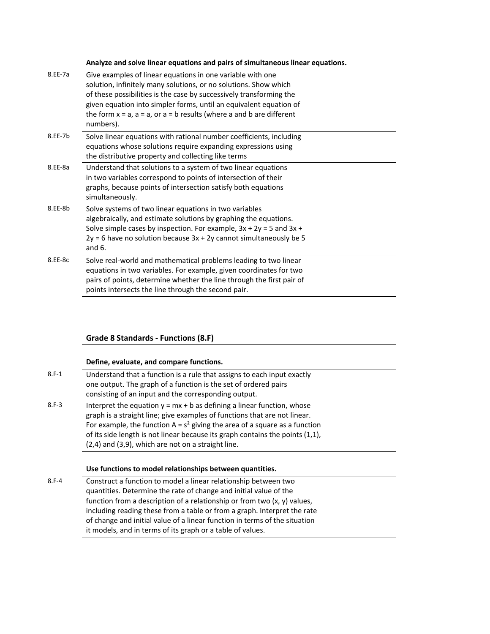**Analyze and solve linear equations and pairs of simultaneous linear equations.**

| 8.EE-7a | Give examples of linear equations in one variable with one                                |
|---------|-------------------------------------------------------------------------------------------|
|         | solution, infinitely many solutions, or no solutions. Show which                          |
|         | of these possibilities is the case by successively transforming the                       |
|         | given equation into simpler forms, until an equivalent equation of                        |
|         | the form $x = a$ , $a = a$ , or $a = b$ results (where a and b are different<br>numbers). |
| 8.EE-7b | Solve linear equations with rational number coefficients, including                       |
|         | equations whose solutions require expanding expressions using                             |
|         | the distributive property and collecting like terms                                       |
| 8.EE-8a | Understand that solutions to a system of two linear equations                             |
|         | in two variables correspond to points of intersection of their                            |
|         | graphs, because points of intersection satisfy both equations                             |
|         | simultaneously.                                                                           |
| 8.EE-8b | Solve systems of two linear equations in two variables                                    |
|         | algebraically, and estimate solutions by graphing the equations.                          |
|         | Solve simple cases by inspection. For example, $3x + 2y = 5$ and $3x +$                   |
|         | $2y = 6$ have no solution because $3x + 2y$ cannot simultaneously be 5                    |
|         | and $6.$                                                                                  |
| 8.EE-8c | Solve real-world and mathematical problems leading to two linear                          |
|         | equations in two variables. For example, given coordinates for two                        |
|         | pairs of points, determine whether the line through the first pair of                     |
|         | points intersects the line through the second pair.                                       |

### **Grade 8 Standards ‐ Functions (8.F)**

### **Define, evaluate, and compare functions.**

| $8.F-1$ | Understand that a function is a rule that assigns to each input exactly<br>one output. The graph of a function is the set of ordered pairs                                                                                                                                                                                                                                    |  |
|---------|-------------------------------------------------------------------------------------------------------------------------------------------------------------------------------------------------------------------------------------------------------------------------------------------------------------------------------------------------------------------------------|--|
|         | consisting of an input and the corresponding output.                                                                                                                                                                                                                                                                                                                          |  |
| $8.F-3$ | Interpret the equation $y = mx + b$ as defining a linear function, whose<br>graph is a straight line; give examples of functions that are not linear.<br>For example, the function $A = s^2$ giving the area of a square as a function<br>of its side length is not linear because its graph contains the points (1,1),<br>(2,4) and (3,9), which are not on a straight line. |  |

#### **Use functions to model relationships between quantities.**

8.F‐4 Construct a function to model a linear relationship between two quantities. Determine the rate of change and initial value of the function from a description of a relationship or from two (x, y) values, including reading these from a table or from a graph. Interpret the rate of change and initial value of a linear function in terms of the situation it models, and in terms of its graph or a table of values.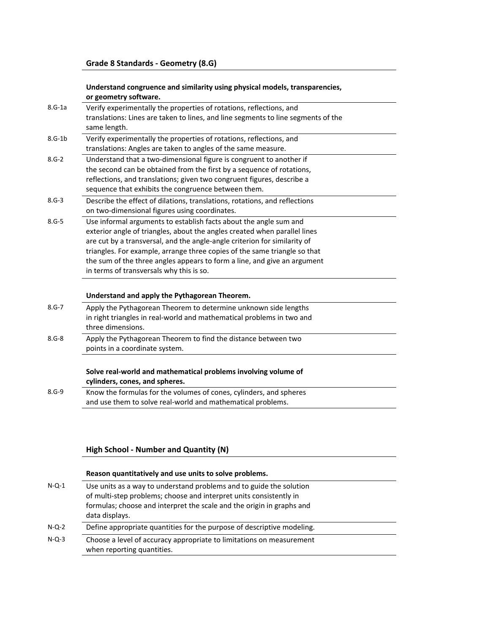## **Understand congruence and similarity using physical models, transparencies, or geometry software.**

| $8.G-1a$  | Verify experimentally the properties of rotations, reflections, and               |
|-----------|-----------------------------------------------------------------------------------|
|           | translations: Lines are taken to lines, and line segments to line segments of the |
|           | same length.                                                                      |
| $8.G-1b$  | Verify experimentally the properties of rotations, reflections, and               |
|           | translations: Angles are taken to angles of the same measure.                     |
| $8.G-2$   | Understand that a two-dimensional figure is congruent to another if               |
|           | the second can be obtained from the first by a sequence of rotations,             |
|           | reflections, and translations; given two congruent figures, describe a            |
|           | sequence that exhibits the congruence between them.                               |
| $8.G-3$   | Describe the effect of dilations, translations, rotations, and reflections        |
|           | on two-dimensional figures using coordinates.                                     |
| $8.G - 5$ | Use informal arguments to establish facts about the angle sum and                 |
|           | exterior angle of triangles, about the angles created when parallel lines         |
|           | are cut by a transversal, and the angle-angle criterion for similarity of         |
|           | triangles. For example, arrange three copies of the same triangle so that         |
|           | the sum of the three angles appears to form a line, and give an argument          |
|           | in terms of transversals why this is so.                                          |
|           |                                                                                   |
|           | Understand and apply the Pythagorean Theorem.                                     |
| $8.G - 7$ | Apply the Pythagorean Theorem to determine unknown side lengths                   |
|           | in right triangles in real-world and mathematical problems in two and             |
|           | three dimensions.                                                                 |
| $8.6 - 8$ | Apply the Pythagorean Theorem to find the distance between two                    |
|           | points in a coordinate system.                                                    |
|           | Solve real-world and mathematical problems involving volume of                    |
|           | cylinders, cones, and spheres.                                                    |
| $8.G-9$   | Know the formulas for the volumes of cones, cylinders, and spheres                |
|           | and use them to solve real-world and mathematical problems.                       |
|           |                                                                                   |

# **High School ‐ Number and Quantity (N)**

|          | Reason quantitatively and use units to solve problems.                                                                                                                                                                               |
|----------|--------------------------------------------------------------------------------------------------------------------------------------------------------------------------------------------------------------------------------------|
| $N$ -Q-1 | Use units as a way to understand problems and to guide the solution<br>of multi-step problems; choose and interpret units consistently in<br>formulas; choose and interpret the scale and the origin in graphs and<br>data displays. |
| $N-Q-2$  | Define appropriate quantities for the purpose of descriptive modeling.                                                                                                                                                               |
| $N-Q-3$  | Choose a level of accuracy appropriate to limitations on measurement<br>when reporting quantities.                                                                                                                                   |

 $\overline{\phantom{0}}$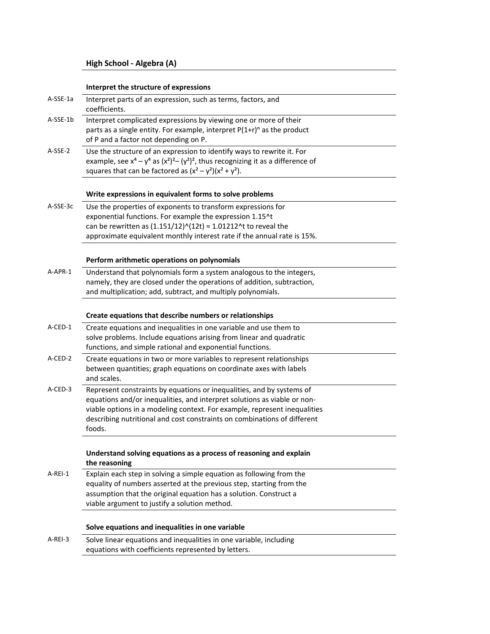## **Interpret the structure of expressions**

| A-SSE-1a  | Interpret parts of an expression, such as terms, factors, and<br>coefficients.                                                                                                                                                   |
|-----------|----------------------------------------------------------------------------------------------------------------------------------------------------------------------------------------------------------------------------------|
| A-SSE-1b  | Interpret complicated expressions by viewing one or more of their<br>parts as a single entity. For example, interpret $P(1+r)^n$ as the product<br>of P and a factor not depending on P.                                         |
| A-SSE-2   | Use the structure of an expression to identify ways to rewrite it. For<br>example, see $x^4 - y^4$ as $(x^2)^2 - (y^2)^2$ , thus recognizing it as a difference of<br>squares that can be factored as $(x^2 - y^2)(x^2 + y^2)$ . |
|           | Write expressions in equivalent forms to solve problems                                                                                                                                                                          |
| A-SSE-3c  | Use the properties of exponents to transform expressions for                                                                                                                                                                     |
|           | exponential functions. For example the expression 1.15^t                                                                                                                                                                         |
|           | can be rewritten as $(1.151/12)^{(12t)} \approx 1.01212$ ^t to reveal the                                                                                                                                                        |
|           | approximate equivalent monthly interest rate if the annual rate is 15%.                                                                                                                                                          |
|           | Perform arithmetic operations on polynomials                                                                                                                                                                                     |
| A-APR-1   | Understand that polynomials form a system analogous to the integers,                                                                                                                                                             |
|           | namely, they are closed under the operations of addition, subtraction,                                                                                                                                                           |
|           | and multiplication; add, subtract, and multiply polynomials.                                                                                                                                                                     |
|           |                                                                                                                                                                                                                                  |
|           | Create equations that describe numbers or relationships                                                                                                                                                                          |
| A-CED-1   | Create equations and inequalities in one variable and use them to                                                                                                                                                                |
|           | solve problems. Include equations arising from linear and quadratic                                                                                                                                                              |
|           | functions, and simple rational and exponential functions.                                                                                                                                                                        |
| A-CED-2   | Create equations in two or more variables to represent relationships                                                                                                                                                             |
|           | between quantities; graph equations on coordinate axes with labels                                                                                                                                                               |
|           | and scales.                                                                                                                                                                                                                      |
| A-CED-3   | Represent constraints by equations or inequalities, and by systems of                                                                                                                                                            |
|           | equations and/or inequalities, and interpret solutions as viable or non-                                                                                                                                                         |
|           | viable options in a modeling context. For example, represent inequalities                                                                                                                                                        |
|           | describing nutritional and cost constraints on combinations of different<br>foods.                                                                                                                                               |
|           |                                                                                                                                                                                                                                  |
|           | Understand solving equations as a process of reasoning and explain<br>the reasoning                                                                                                                                              |
| A-REI-1   | Explain each step in solving a simple equation as following from the                                                                                                                                                             |
|           | equality of numbers asserted at the previous step, starting from the                                                                                                                                                             |
|           | assumption that the original equation has a solution. Construct a                                                                                                                                                                |
|           | viable argument to justify a solution method.                                                                                                                                                                                    |
|           | Solve equations and inequalities in one variable                                                                                                                                                                                 |
| $A-REI-3$ | Solve linear equations and inequalities in one variable, including                                                                                                                                                               |
|           | equations with coefficients represented by letters.                                                                                                                                                                              |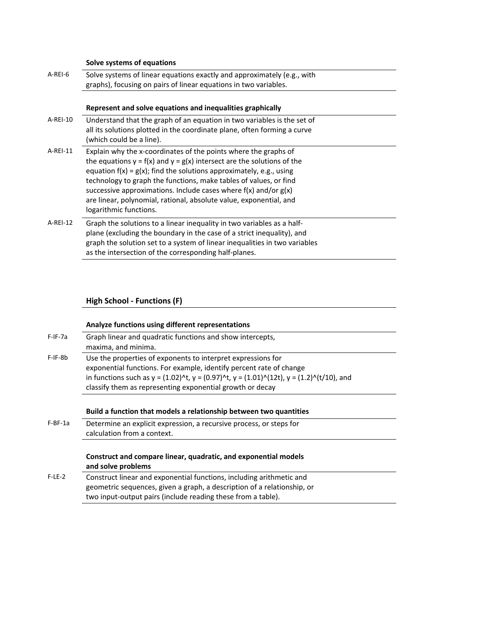# **Solve systems of equations**

| A-REI-6  | Solve systems of linear equations exactly and approximately (e.g., with<br>graphs), focusing on pairs of linear equations in two variables.                                                                                                                                                                                                                                                                                                                         |
|----------|---------------------------------------------------------------------------------------------------------------------------------------------------------------------------------------------------------------------------------------------------------------------------------------------------------------------------------------------------------------------------------------------------------------------------------------------------------------------|
|          | Represent and solve equations and inequalities graphically                                                                                                                                                                                                                                                                                                                                                                                                          |
| A-REI-10 | Understand that the graph of an equation in two variables is the set of<br>all its solutions plotted in the coordinate plane, often forming a curve<br>(which could be a line).                                                                                                                                                                                                                                                                                     |
| A-REI-11 | Explain why the x-coordinates of the points where the graphs of<br>the equations $y = f(x)$ and $y = g(x)$ intersect are the solutions of the<br>equation $f(x) = g(x)$ ; find the solutions approximately, e.g., using<br>technology to graph the functions, make tables of values, or find<br>successive approximations. Include cases where $f(x)$ and/or $g(x)$<br>are linear, polynomial, rational, absolute value, exponential, and<br>logarithmic functions. |
| A-REI-12 | Graph the solutions to a linear inequality in two variables as a half-<br>plane (excluding the boundary in the case of a strict inequality), and<br>graph the solution set to a system of linear inequalities in two variables<br>as the intersection of the corresponding half-planes.                                                                                                                                                                             |

# **High School ‐ Functions (F)**

|          | Analyze functions using different representations                                                                                                                                                                                                                                                                    |
|----------|----------------------------------------------------------------------------------------------------------------------------------------------------------------------------------------------------------------------------------------------------------------------------------------------------------------------|
| F-IF-7a  | Graph linear and quadratic functions and show intercepts,<br>maxima, and minima.                                                                                                                                                                                                                                     |
| F-IF-8b  | Use the properties of exponents to interpret expressions for<br>exponential functions. For example, identify percent rate of change<br>in functions such as $y = (1.02)^{n}t$ , $y = (0.97)^{n}t$ , $y = (1.01)^{n}(12t)$ , $y = (1.2)^{n}(t/10)$ , and<br>classify them as representing exponential growth or decay |
|          | Build a function that models a relationship between two quantities                                                                                                                                                                                                                                                   |
| F-BF-1a  | Determine an explicit expression, a recursive process, or steps for<br>calculation from a context.                                                                                                                                                                                                                   |
|          | Construct and compare linear, quadratic, and exponential models<br>and solve problems                                                                                                                                                                                                                                |
| $F-LE-2$ | Construct linear and exponential functions, including arithmetic and<br>geometric sequences, given a graph, a description of a relationship, or<br>two input-output pairs (include reading these from a table).                                                                                                      |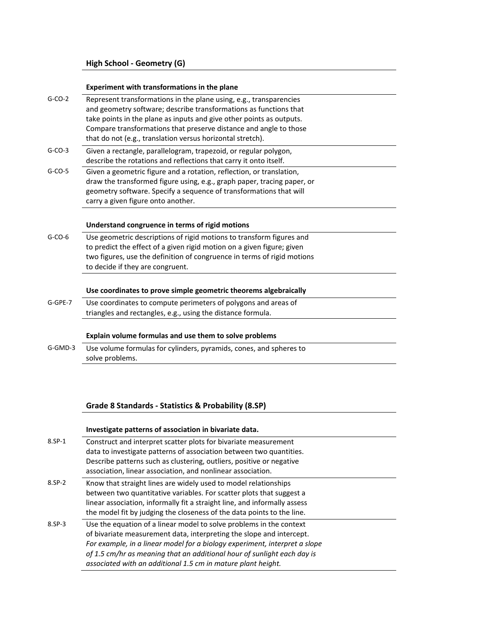## **Experiment with transformations in the plane**

| $G-CO-2$  | Represent transformations in the plane using, e.g., transparencies<br>and geometry software; describe transformations as functions that<br>take points in the plane as inputs and give other points as outputs.<br>Compare transformations that preserve distance and angle to those<br>that do not (e.g., translation versus horizontal stretch). |
|-----------|----------------------------------------------------------------------------------------------------------------------------------------------------------------------------------------------------------------------------------------------------------------------------------------------------------------------------------------------------|
| $G-CO-3$  | Given a rectangle, parallelogram, trapezoid, or regular polygon,<br>describe the rotations and reflections that carry it onto itself.                                                                                                                                                                                                              |
| $G-CO-5$  | Given a geometric figure and a rotation, reflection, or translation,<br>draw the transformed figure using, e.g., graph paper, tracing paper, or<br>geometry software. Specify a sequence of transformations that will<br>carry a given figure onto another.                                                                                        |
|           | Understand congruence in terms of rigid motions                                                                                                                                                                                                                                                                                                    |
| $G-CO-6$  | Use geometric descriptions of rigid motions to transform figures and<br>to predict the effect of a given rigid motion on a given figure; given<br>two figures, use the definition of congruence in terms of rigid motions<br>to decide if they are congruent.                                                                                      |
|           | Use coordinates to prove simple geometric theorems algebraically                                                                                                                                                                                                                                                                                   |
| $G-GPE-7$ | Use coordinates to compute perimeters of polygons and areas of<br>triangles and rectangles, e.g., using the distance formula.                                                                                                                                                                                                                      |
|           | Explain volume formulas and use them to solve problems                                                                                                                                                                                                                                                                                             |
| G-GMD-3   | Use volume formulas for cylinders, pyramids, cones, and spheres to<br>solve problems.                                                                                                                                                                                                                                                              |

# **Grade 8 Standards ‐ Statistics & Probability (8.SP)**

## **Investigate patterns of association in bivariate data.**

| 8.SP-1   | Construct and interpret scatter plots for bivariate measurement<br>data to investigate patterns of association between two quantities.<br>Describe patterns such as clustering, outliers, positive or negative<br>association, linear association, and nonlinear association.                                                                                        |
|----------|----------------------------------------------------------------------------------------------------------------------------------------------------------------------------------------------------------------------------------------------------------------------------------------------------------------------------------------------------------------------|
| 8.SP-2   | Know that straight lines are widely used to model relationships<br>between two quantitative variables. For scatter plots that suggest a<br>linear association, informally fit a straight line, and informally assess<br>the model fit by judging the closeness of the data points to the line.                                                                       |
| $8.5P-3$ | Use the equation of a linear model to solve problems in the context<br>of bivariate measurement data, interpreting the slope and intercept.<br>For example, in a linear model for a biology experiment, interpret a slope<br>of 1.5 cm/hr as meaning that an additional hour of sunlight each day is<br>associated with an additional 1.5 cm in mature plant height. |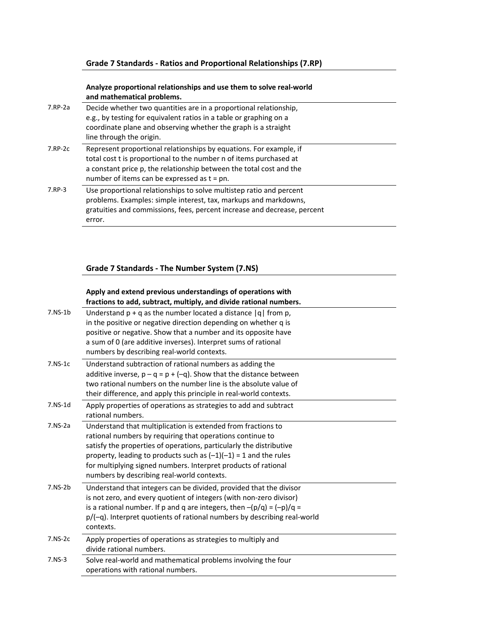## **Grade 7 Standards ‐ Ratios and Proportional Relationships (7.RP)**

### **Analyze proportional relationships and use them to solve real‐world and mathematical problems.**

| 7.RP-2a       | Decide whether two quantities are in a proportional relationship,<br>e.g., by testing for equivalent ratios in a table or graphing on a<br>coordinate plane and observing whether the graph is a straight<br>line through the origin.                             |
|---------------|-------------------------------------------------------------------------------------------------------------------------------------------------------------------------------------------------------------------------------------------------------------------|
| $7.$ RP- $2c$ | Represent proportional relationships by equations. For example, if<br>total cost t is proportional to the number n of items purchased at<br>a constant price p, the relationship between the total cost and the<br>number of items can be expressed as $t = pn$ . |
| 7.RP-3        | Use proportional relationships to solve multistep ratio and percent<br>problems. Examples: simple interest, tax, markups and markdowns,<br>gratuities and commissions, fees, percent increase and decrease, percent<br>error.                                     |

# **Grade 7 Standards ‐ The Number System (7.NS)**

### **Apply and extend previous understandings of operations with fractions to add, subtract, multiply, and divide rational numbers.**

| $7.NS-1b$ | Understand $p + q$ as the number located a distance $ q $ from p,<br>in the positive or negative direction depending on whether q is<br>positive or negative. Show that a number and its opposite have<br>a sum of 0 (are additive inverses). Interpret sums of rational<br>numbers by describing real-world contexts.                                                                 |
|-----------|----------------------------------------------------------------------------------------------------------------------------------------------------------------------------------------------------------------------------------------------------------------------------------------------------------------------------------------------------------------------------------------|
| $7.NS-1c$ | Understand subtraction of rational numbers as adding the<br>additive inverse, $p - q = p + (-q)$ . Show that the distance between<br>two rational numbers on the number line is the absolute value of<br>their difference, and apply this principle in real-world contexts.                                                                                                            |
| $7.NS-1d$ | Apply properties of operations as strategies to add and subtract<br>rational numbers.                                                                                                                                                                                                                                                                                                  |
| $7.NS-2a$ | Understand that multiplication is extended from fractions to<br>rational numbers by requiring that operations continue to<br>satisfy the properties of operations, particularly the distributive<br>property, leading to products such as $(-1)(-1) = 1$ and the rules<br>for multiplying signed numbers. Interpret products of rational<br>numbers by describing real-world contexts. |
| $7.NS-2b$ | Understand that integers can be divided, provided that the divisor<br>is not zero, and every quotient of integers (with non-zero divisor)<br>is a rational number. If p and q are integers, then $-(p/q) = (-p)/q =$<br>p/(-q). Interpret quotients of rational numbers by describing real-world<br>contexts.                                                                          |
| $7.NS-2c$ | Apply properties of operations as strategies to multiply and<br>divide rational numbers.                                                                                                                                                                                                                                                                                               |
| $7.NS-3$  | Solve real-world and mathematical problems involving the four<br>operations with rational numbers.                                                                                                                                                                                                                                                                                     |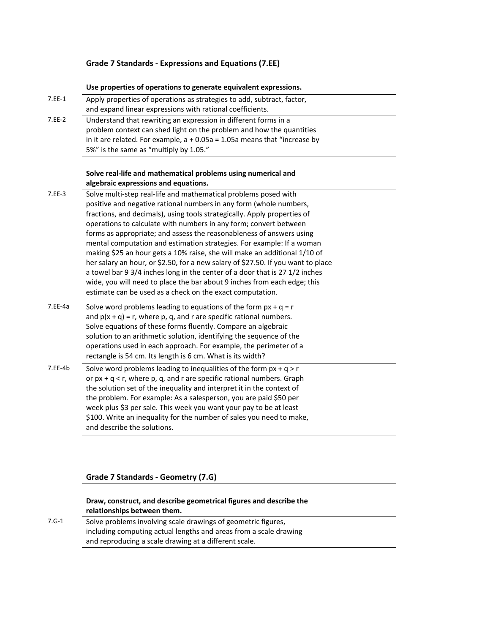# **Grade 7 Standards ‐ Expressions and Equations (7.EE)**

### **Use properties of operations to generate equivalent expressions.**

| 7.EE-1  | Apply properties of operations as strategies to add, subtract, factor,                                |  |
|---------|-------------------------------------------------------------------------------------------------------|--|
|         | and expand linear expressions with rational coefficients.                                             |  |
| 7.EE-2  | Understand that rewriting an expression in different forms in a                                       |  |
|         | problem context can shed light on the problem and how the quantities                                  |  |
|         | in it are related. For example, $a + 0.05a = 1.05a$ means that "increase by                           |  |
|         | 5%" is the same as "multiply by 1.05."                                                                |  |
|         |                                                                                                       |  |
|         | Solve real-life and mathematical problems using numerical and<br>algebraic expressions and equations. |  |
| 7.EE-3  | Solve multi-step real-life and mathematical problems posed with                                       |  |
|         | positive and negative rational numbers in any form (whole numbers,                                    |  |
|         | fractions, and decimals), using tools strategically. Apply properties of                              |  |
|         | operations to calculate with numbers in any form; convert between                                     |  |
|         | forms as appropriate; and assess the reasonableness of answers using                                  |  |
|         | mental computation and estimation strategies. For example: If a woman                                 |  |
|         | making \$25 an hour gets a 10% raise, she will make an additional 1/10 of                             |  |
|         | her salary an hour, or \$2.50, for a new salary of \$27.50. If you want to place                      |  |
|         | a towel bar 9 3/4 inches long in the center of a door that is 27 1/2 inches                           |  |
|         | wide, you will need to place the bar about 9 inches from each edge; this                              |  |
|         | estimate can be used as a check on the exact computation.                                             |  |
| 7.EE-4a | Solve word problems leading to equations of the form $px + q = r$                                     |  |
|         | and $p(x + q) = r$ , where p, q, and r are specific rational numbers.                                 |  |
|         | Solve equations of these forms fluently. Compare an algebraic                                         |  |
|         | solution to an arithmetic solution, identifying the sequence of the                                   |  |
|         | operations used in each approach. For example, the perimeter of a                                     |  |
|         | rectangle is 54 cm. Its length is 6 cm. What is its width?                                            |  |
| 7.EE-4b | Solve word problems leading to inequalities of the form $px + q > r$                                  |  |
|         | or $px + q < r$ , where p, q, and r are specific rational numbers. Graph                              |  |
|         | the solution set of the inequality and interpret it in the context of                                 |  |
|         | the problem. For example: As a salesperson, you are paid \$50 per                                     |  |
|         | week plus \$3 per sale. This week you want your pay to be at least                                    |  |
|         | \$100. Write an inequality for the number of sales you need to make,                                  |  |
|         | and describe the solutions.                                                                           |  |
|         |                                                                                                       |  |

# **Grade 7 Standards ‐ Geometry (7.G)**

### **Draw, construct, and describe geometrical figures and describe the relationships between them.**

7.G-1 Solve problems involving scale drawings of geometric figures, including computing actual lengths and areas from a scale drawing and reproducing a scale drawing at a different scale.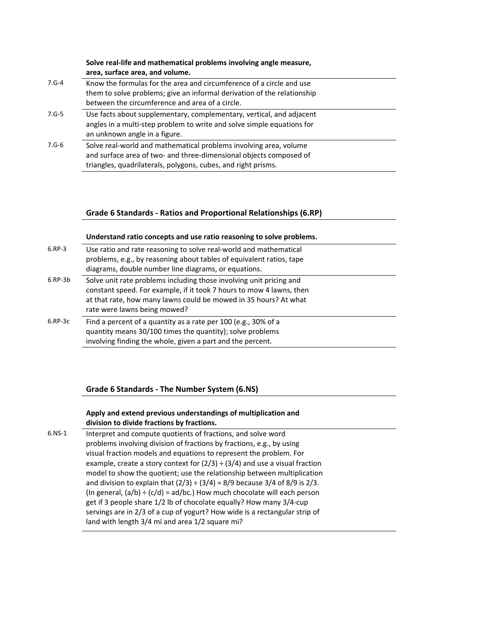### **Solve real‐life and mathematical problems involving angle measure, area, surface area, and volume.**

- 7.G‐4 Know the formulas for the area and circumference of a circle and use them to solve problems; give an informal derivation of the relationship between the circumference and area of a circle. 7.G‐5 Use facts about supplementary, complementary, vertical, and adjacent
- angles in a multi‐step problem to write and solve simple equations for an unknown angle in a figure.
- 7.G-6 Solve real-world and mathematical problems involving area, volume and surface area of two‐ and three‐dimensional objects composed of triangles, quadrilaterals, polygons, cubes, and right prisms.

# **Grade 6 Standards ‐ Ratios and Proportional Relationships (6.RP)**

|               | Understand ratio concepts and use ratio reasoning to solve problems.                                                                                                                                                                            |
|---------------|-------------------------------------------------------------------------------------------------------------------------------------------------------------------------------------------------------------------------------------------------|
| $6.RP-3$      | Use ratio and rate reasoning to solve real-world and mathematical<br>problems, e.g., by reasoning about tables of equivalent ratios, tape<br>diagrams, double number line diagrams, or equations.                                               |
| $6.$ RP- $3b$ | Solve unit rate problems including those involving unit pricing and<br>constant speed. For example, if it took 7 hours to mow 4 lawns, then<br>at that rate, how many lawns could be mowed in 35 hours? At what<br>rate were lawns being mowed? |
| $6.$ RP- $3c$ | Find a percent of a quantity as a rate per 100 (e.g., 30% of a<br>quantity means 30/100 times the quantity); solve problems<br>involving finding the whole, given a part and the percent.                                                       |

# **Grade 6 Standards ‐ The Number System (6.NS)**

### **Apply and extend previous understandings of multiplication and division to divide fractions by fractions.**

6.NS‐1 Interpret and compute quotients of fractions, and solve word problems involving division of fractions by fractions, e.g., by using visual fraction models and equations to represent the problem. For example, create a story context for  $(2/3) \div (3/4)$  and use a visual fraction model to show the quotient; use the relationship between multiplication and division to explain that  $(2/3) \div (3/4) = 8/9$  because 3/4 of 8/9 is 2/3. (In general,  $(a/b) \div (c/d) = ad/bc$ .) How much chocolate will each person get if 3 people share 1/2 lb of chocolate equally? How many 3/4‐cup servings are in 2/3 of a cup of yogurt? How wide is a rectangular strip of land with length 3/4 mi and area 1/2 square mi?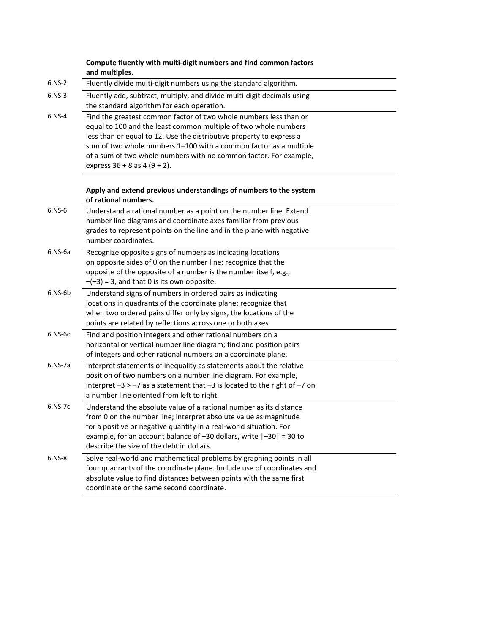|           | Compute fluently with multi-digit numbers and find common factors<br>and multiples.                                                                                                                                                                                                                                                                                                        |
|-----------|--------------------------------------------------------------------------------------------------------------------------------------------------------------------------------------------------------------------------------------------------------------------------------------------------------------------------------------------------------------------------------------------|
| $6.NS-2$  | Fluently divide multi-digit numbers using the standard algorithm.                                                                                                                                                                                                                                                                                                                          |
| $6.NS-3$  | Fluently add, subtract, multiply, and divide multi-digit decimals using<br>the standard algorithm for each operation.                                                                                                                                                                                                                                                                      |
| $6.NS-4$  | Find the greatest common factor of two whole numbers less than or<br>equal to 100 and the least common multiple of two whole numbers<br>less than or equal to 12. Use the distributive property to express a<br>sum of two whole numbers 1-100 with a common factor as a multiple<br>of a sum of two whole numbers with no common factor. For example,<br>express $36 + 8$ as $4(9 + 2)$ . |
|           | Apply and extend previous understandings of numbers to the system<br>of rational numbers.                                                                                                                                                                                                                                                                                                  |
| $6.NS-6$  | Understand a rational number as a point on the number line. Extend<br>number line diagrams and coordinate axes familiar from previous<br>grades to represent points on the line and in the plane with negative<br>number coordinates.                                                                                                                                                      |
| $6.NS-6a$ | Recognize opposite signs of numbers as indicating locations<br>on opposite sides of 0 on the number line; recognize that the<br>opposite of the opposite of a number is the number itself, e.g.,<br>$-(-3)$ = 3, and that 0 is its own opposite.                                                                                                                                           |
| $6.NS-6b$ | Understand signs of numbers in ordered pairs as indicating<br>locations in quadrants of the coordinate plane; recognize that<br>when two ordered pairs differ only by signs, the locations of the<br>points are related by reflections across one or both axes.                                                                                                                            |
| $6.NS-6c$ | Find and position integers and other rational numbers on a<br>horizontal or vertical number line diagram; find and position pairs<br>of integers and other rational numbers on a coordinate plane.                                                                                                                                                                                         |
| $6.NS-7a$ | Interpret statements of inequality as statements about the relative<br>position of two numbers on a number line diagram. For example,<br>interpret $-3 > -7$ as a statement that $-3$ is located to the right of $-7$ on<br>a number line oriented from left to right.                                                                                                                     |
| 6.NS-7c   | Understand the absolute value of a rational number as its distance<br>from 0 on the number line; interpret absolute value as magnitude<br>for a positive or negative quantity in a real-world situation. For<br>example, for an account balance of $-30$ dollars, write $ -30  = 30$ to<br>describe the size of the debt in dollars.                                                       |
| $6.NS-8$  | Solve real-world and mathematical problems by graphing points in all<br>four quadrants of the coordinate plane. Include use of coordinates and<br>absolute value to find distances between points with the same first<br>coordinate or the same second coordinate.                                                                                                                         |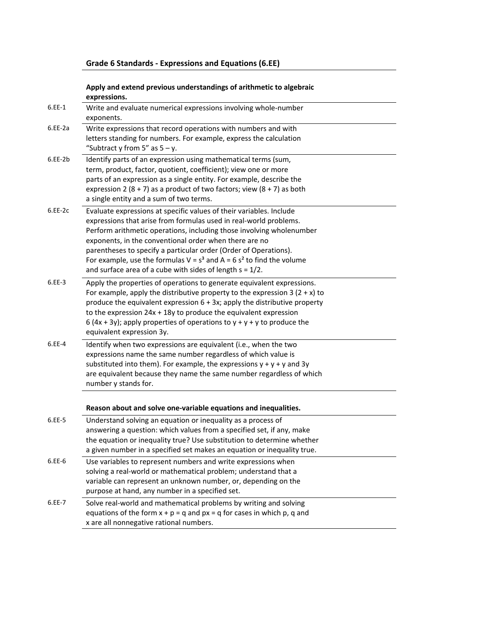# **Grade 6 Standards ‐ Expressions and Equations (6.EE)**

## **Apply and extend previous understandings of arithmetic to algebraic expressions.**

| $6.EE-1$  | Write and evaluate numerical expressions involving whole-number<br>exponents.                                                                                                                                                                                                                                                                                                                                                                                                               |
|-----------|---------------------------------------------------------------------------------------------------------------------------------------------------------------------------------------------------------------------------------------------------------------------------------------------------------------------------------------------------------------------------------------------------------------------------------------------------------------------------------------------|
| $6.EE-2a$ | Write expressions that record operations with numbers and with<br>letters standing for numbers. For example, express the calculation<br>"Subtract y from 5" as $5 - y$ .                                                                                                                                                                                                                                                                                                                    |
| $6.EE-2b$ | Identify parts of an expression using mathematical terms (sum,<br>term, product, factor, quotient, coefficient); view one or more<br>parts of an expression as a single entity. For example, describe the<br>expression 2 (8 + 7) as a product of two factors; view (8 + 7) as both<br>a single entity and a sum of two terms.                                                                                                                                                              |
| $6.EE-2c$ | Evaluate expressions at specific values of their variables. Include<br>expressions that arise from formulas used in real-world problems.<br>Perform arithmetic operations, including those involving wholenumber<br>exponents, in the conventional order when there are no<br>parentheses to specify a particular order (Order of Operations).<br>For example, use the formulas $V = s^3$ and $A = 6 s^2$ to find the volume<br>and surface area of a cube with sides of length $s = 1/2$ . |
| $6.EE-3$  | Apply the properties of operations to generate equivalent expressions.<br>For example, apply the distributive property to the expression 3 $(2 + x)$ to<br>produce the equivalent expression $6 + 3x$ ; apply the distributive property<br>to the expression $24x + 18y$ to produce the equivalent expression<br>6 (4x + 3y); apply properties of operations to $y + y + y$ to produce the<br>equivalent expression 3y.                                                                     |
| 6.EE-4    | Identify when two expressions are equivalent (i.e., when the two<br>expressions name the same number regardless of which value is<br>substituted into them). For example, the expressions $y + y + y$ and 3y<br>are equivalent because they name the same number regardless of which<br>number y stands for.                                                                                                                                                                                |
|           | Reason about and solve one-variable equations and inequalities.                                                                                                                                                                                                                                                                                                                                                                                                                             |
| 6.EE-5    | Understand solving an equation or inequality as a process of<br>answering a question: which values from a specified set, if any, make<br>the equation or inequality true? Use substitution to determine whether<br>a given number in a specified set makes an equation or inequality true.                                                                                                                                                                                                  |
| $6.EE-6$  | Use variables to represent numbers and write expressions when<br>solving a real-world or mathematical problem; understand that a<br>variable can represent an unknown number, or, depending on the<br>purpose at hand, any number in a specified set.                                                                                                                                                                                                                                       |
| 6.EE-7    | Solve real-world and mathematical problems by writing and solving<br>equations of the form $x + p = q$ and $px = q$ for cases in which p, q and<br>x are all nonnegative rational numbers.                                                                                                                                                                                                                                                                                                  |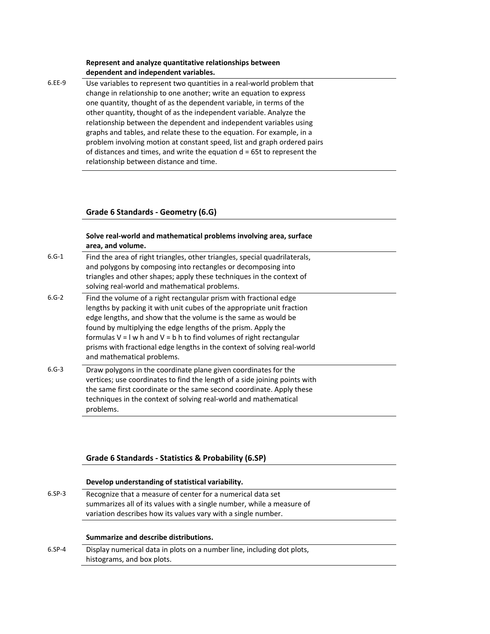### **Represent and analyze quantitative relationships between dependent and independent variables.**

6.EE‐9 Use variables to represent two quantities in a real‐world problem that change in relationship to one another; write an equation to express one quantity, thought of as the dependent variable, in terms of the other quantity, thought of as the independent variable. Analyze the relationship between the dependent and independent variables using graphs and tables, and relate these to the equation. For example, in a problem involving motion at constant speed, list and graph ordered pairs of distances and times, and write the equation  $d = 65t$  to represent the relationship between distance and time.

## **Grade 6 Standards ‐ Geometry (6.G)**

#### **Solve real‐world and mathematical problems involving area, surface area, and volume.**

- 6.G‐1 Find the area of right triangles, other triangles, special quadrilaterals, and polygons by composing into rectangles or decomposing into triangles and other shapes; apply these techniques in the context of solving real‐world and mathematical problems.
- 6.G‐2 Find the volume of a right rectangular prism with fractional edge lengths by packing it with unit cubes of the appropriate unit fraction edge lengths, and show that the volume is the same as would be found by multiplying the edge lengths of the prism. Apply the formulas  $V = I w$  h and  $V = b$  h to find volumes of right rectangular prisms with fractional edge lengths in the context of solving real‐world and mathematical problems.
- 6.G‐3 Draw polygons in the coordinate plane given coordinates for the vertices; use coordinates to find the length of a side joining points with the same first coordinate or the same second coordinate. Apply these techniques in the context of solving real‐world and mathematical problems.

### **Grade 6 Standards ‐ Statistics & Probability (6.SP)**

#### **Develop understanding of statistical variability.**

6.SP‐3 Recognize that a measure of center for a numerical data set summarizes all of its values with a single number, while a measure of variation describes how its values vary with a single number.

#### **Summarize and describe distributions.**

6.SP‐4 Display numerical data in plots on a number line, including dot plots, histograms, and box plots.